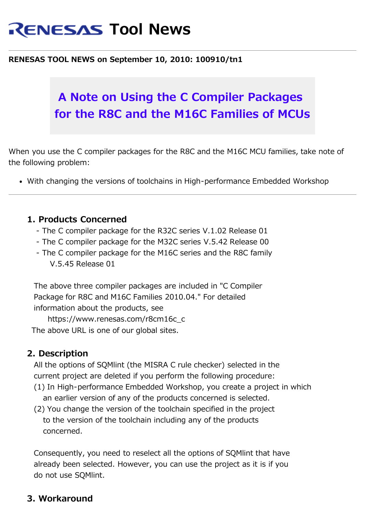# **RENESAS Tool News**

#### **RENESAS TOOL NEWS on September 10, 2010: 100910/tn1**

## **A Note on Using the C Compiler Packages for the R8C and the M16C Families of MCUs**

When you use the C compiler packages for the R8C and the M16C MCU families, take note of the following problem:

With changing the versions of toolchains in High-performance Embedded Workshop

#### **1. Products Concerned**

- The C compiler package for the R32C series V.1.02 Release 01
- The C compiler package for the M32C series V.5.42 Release 00
- The C compiler package for the M16C series and the R8C family V.5.45 Release 01

The above three compiler packages are included in "C Compiler Package for R8C and M16C Families 2010.04." For detailed information about the products, see

 https://www.renesas.com/r8cm16c\_c The above URL is one of our global sites.

#### **2. Description**

All the options of SQMlint (the MISRA C rule checker) selected in the current project are deleted if you perform the following procedure:

- (1) In High-performance Embedded Workshop, you create a project in which an earlier version of any of the products concerned is selected.
- (2) You change the version of the toolchain specified in the project to the version of the toolchain including any of the products concerned.

 Consequently, you need to reselect all the options of SQMlint that have already been selected. However, you can use the project as it is if you do not use SQMlint.

#### **3. Workaround**